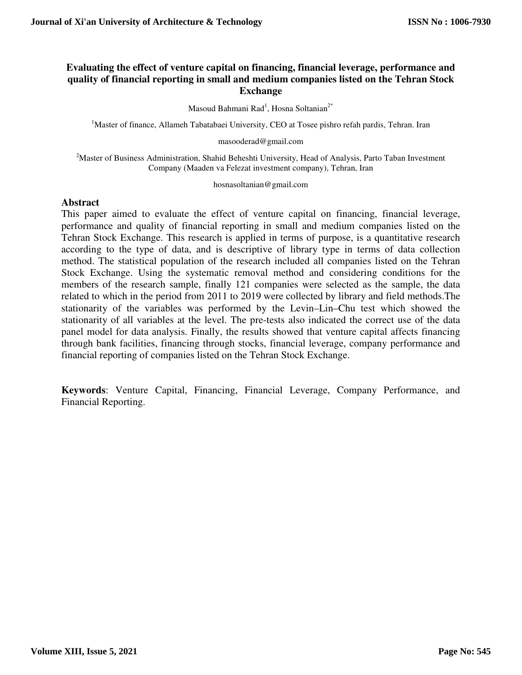## **Evaluating the effect of venture capital on financing, financial leverage, performance and quality of financial reporting in small and medium companies listed on the Tehran Stock Exchange**

Masoud Bahmani Rad<sup>1</sup>, Hosna Soltanian $^{2^{\ast}}$ 

<sup>1</sup>Master of finance, Allameh Tabatabaei University, CEO at Tosee pishro refah pardis, Tehran. Iran

masooderad@gmail.com

<sup>2</sup>Master of Business Administration, Shahid Beheshti University, Head of Analysis, Parto Taban Investment Company (Maaden va Felezat investment company), Tehran, Iran

hosnasoltanian@gmail.com

#### **Abstract**

This paper aimed to evaluate the effect of venture capital on financing, financial leverage, performance and quality of financial reporting in small and medium companies listed on the Tehran Stock Exchange. This research is applied in terms of purpose, is a quantitative research according to the type of data, and is descriptive of library type in terms of data collection method. The statistical population of the research included all companies listed on the Tehran Stock Exchange. Using the systematic removal method and considering conditions for the members of the research sample, finally 121 companies were selected as the sample, the data related to which in the period from 2011 to 2019 were collected by library and field methods.The stationarity of the variables was performed by the Levin–Lin–Chu test which showed the stationarity of all variables at the level. The pre-tests also indicated the correct use of the data panel model for data analysis. Finally, the results showed that venture capital affects financing through bank facilities, financing through stocks, financial leverage, company performance and financial reporting of companies listed on the Tehran Stock Exchange.

**Keywords**: Venture Capital, Financing, Financial Leverage, Company Performance, and Financial Reporting.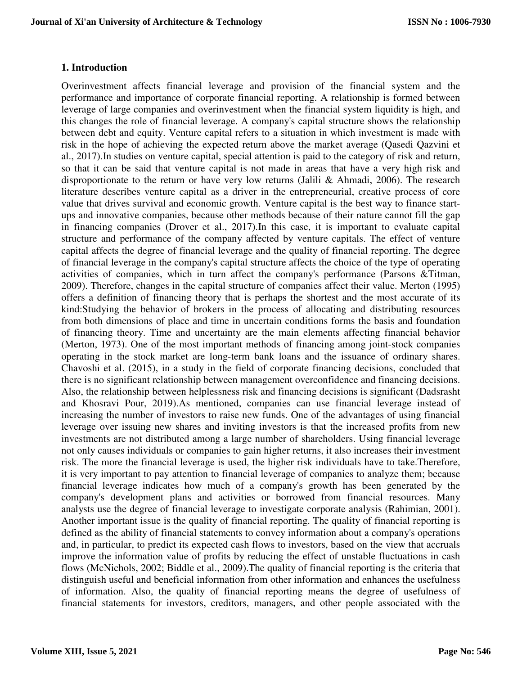# **1. Introduction**

Overinvestment affects financial leverage and provision of the financial system and the performance and importance of corporate financial reporting. A relationship is formed between leverage of large companies and overinvestment when the financial system liquidity is high, and this changes the role of financial leverage. A company's capital structure shows the relationship between debt and equity. Venture capital refers to a situation in which investment is made with risk in the hope of achieving the expected return above the market average (Qasedi Qazvini et al., 2017).In studies on venture capital, special attention is paid to the category of risk and return, so that it can be said that venture capital is not made in areas that have a very high risk and disproportionate to the return or have very low returns (Jalili & Ahmadi, 2006). The research literature describes venture capital as a driver in the entrepreneurial, creative process of core value that drives survival and economic growth. Venture capital is the best way to finance startups and innovative companies, because other methods because of their nature cannot fill the gap in financing companies (Drover et al., 2017).In this case, it is important to evaluate capital structure and performance of the company affected by venture capitals. The effect of venture capital affects the degree of financial leverage and the quality of financial reporting. The degree of financial leverage in the company's capital structure affects the choice of the type of operating activities of companies, which in turn affect the company's performance (Parsons &Titman, 2009). Therefore, changes in the capital structure of companies affect their value. Merton (1995) offers a definition of financing theory that is perhaps the shortest and the most accurate of its kind:Studying the behavior of brokers in the process of allocating and distributing resources from both dimensions of place and time in uncertain conditions forms the basis and foundation of financing theory. Time and uncertainty are the main elements affecting financial behavior (Merton, 1973). One of the most important methods of financing among joint-stock companies operating in the stock market are long-term bank loans and the issuance of ordinary shares. Chavoshi et al. (2015), in a study in the field of corporate financing decisions, concluded that there is no significant relationship between management overconfidence and financing decisions. Also, the relationship between helplessness risk and financing decisions is significant (Dadsrasht and Khosravi Pour, 2019).As mentioned, companies can use financial leverage instead of increasing the number of investors to raise new funds. One of the advantages of using financial leverage over issuing new shares and inviting investors is that the increased profits from new investments are not distributed among a large number of shareholders. Using financial leverage not only causes individuals or companies to gain higher returns, it also increases their investment risk. The more the financial leverage is used, the higher risk individuals have to take.Therefore, it is very important to pay attention to financial leverage of companies to analyze them; because financial leverage indicates how much of a company's growth has been generated by the company's development plans and activities or borrowed from financial resources. Many analysts use the degree of financial leverage to investigate corporate analysis (Rahimian, 2001). Another important issue is the quality of financial reporting. The quality of financial reporting is defined as the ability of financial statements to convey information about a company's operations and, in particular, to predict its expected cash flows to investors, based on the view that accruals improve the information value of profits by reducing the effect of unstable fluctuations in cash flows (McNichols, 2002; Biddle et al., 2009).The quality of financial reporting is the criteria that distinguish useful and beneficial information from other information and enhances the usefulness of information. Also, the quality of financial reporting means the degree of usefulness of financial statements for investors, creditors, managers, and other people associated with the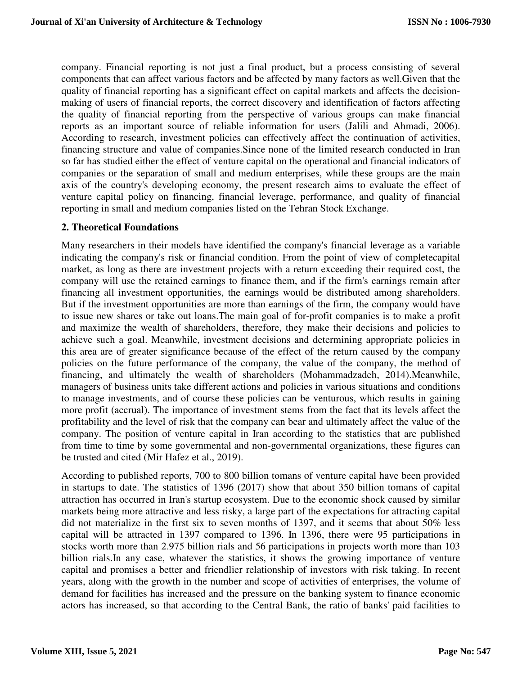company. Financial reporting is not just a final product, but a process consisting of several components that can affect various factors and be affected by many factors as well.Given that the quality of financial reporting has a significant effect on capital markets and affects the decisionmaking of users of financial reports, the correct discovery and identification of factors affecting the quality of financial reporting from the perspective of various groups can make financial reports as an important source of reliable information for users (Jalili and Ahmadi, 2006). According to research, investment policies can effectively affect the continuation of activities, financing structure and value of companies.Since none of the limited research conducted in Iran so far has studied either the effect of venture capital on the operational and financial indicators of companies or the separation of small and medium enterprises, while these groups are the main axis of the country's developing economy, the present research aims to evaluate the effect of venture capital policy on financing, financial leverage, performance, and quality of financial reporting in small and medium companies listed on the Tehran Stock Exchange.

## **2. Theoretical Foundations**

Many researchers in their models have identified the company's financial leverage as a variable indicating the company's risk or financial condition. From the point of view of completecapital market, as long as there are investment projects with a return exceeding their required cost, the company will use the retained earnings to finance them, and if the firm's earnings remain after financing all investment opportunities, the earnings would be distributed among shareholders. But if the investment opportunities are more than earnings of the firm, the company would have to issue new shares or take out loans.The main goal of for-profit companies is to make a profit and maximize the wealth of shareholders, therefore, they make their decisions and policies to achieve such a goal. Meanwhile, investment decisions and determining appropriate policies in this area are of greater significance because of the effect of the return caused by the company policies on the future performance of the company, the value of the company, the method of financing, and ultimately the wealth of shareholders (Mohammadzadeh, 2014).Meanwhile, managers of business units take different actions and policies in various situations and conditions to manage investments, and of course these policies can be venturous, which results in gaining more profit (accrual). The importance of investment stems from the fact that its levels affect the profitability and the level of risk that the company can bear and ultimately affect the value of the company. The position of venture capital in Iran according to the statistics that are published from time to time by some governmental and non-governmental organizations, these figures can be trusted and cited (Mir Hafez et al., 2019).

According to published reports, 700 to 800 billion tomans of venture capital have been provided in startups to date. The statistics of 1396 (2017) show that about 350 billion tomans of capital attraction has occurred in Iran's startup ecosystem. Due to the economic shock caused by similar markets being more attractive and less risky, a large part of the expectations for attracting capital did not materialize in the first six to seven months of 1397, and it seems that about 50% less capital will be attracted in 1397 compared to 1396. In 1396, there were 95 participations in stocks worth more than 2.975 billion rials and 56 participations in projects worth more than 103 billion rials.In any case, whatever the statistics, it shows the growing importance of venture capital and promises a better and friendlier relationship of investors with risk taking. In recent years, along with the growth in the number and scope of activities of enterprises, the volume of demand for facilities has increased and the pressure on the banking system to finance economic actors has increased, so that according to the Central Bank, the ratio of banks' paid facilities to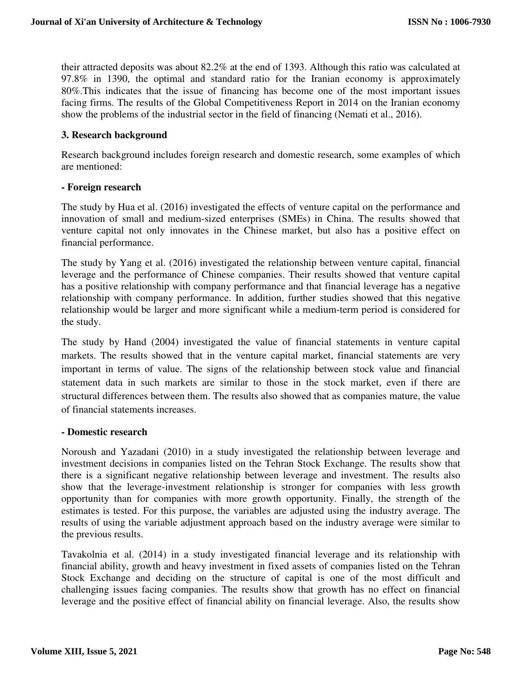their attracted deposits was about 82.2% at the end of 1393. Although this ratio was calculated at 97.8% in 1390, the optimal and standard ratio for the Iranian economy is approximately 80%.This indicates that the issue of financing has become one of the most important issues facing firms. The results of the Global Competitiveness Report in 2014 on the Iranian economy show the problems of the industrial sector in the field of financing (Nemati et al., 2016).

#### **3. Research background**

Research background includes foreign research and domestic research, some examples of which are mentioned:

#### **- Foreign research**

The study by Hua et al. (2016) investigated the effects of venture capital on the performance and innovation of small and medium-sized enterprises (SMEs) in China. The results showed that venture capital not only innovates in the Chinese market, but also has a positive effect on financial performance.

The study by Yang et al. (2016) investigated the relationship between venture capital, financial leverage and the performance of Chinese companies. Their results showed that venture capital has a positive relationship with company performance and that financial leverage has a negative relationship with company performance. In addition, further studies showed that this negative relationship would be larger and more significant while a medium-term period is considered for the study.

The study by Hand (2004) investigated the value of financial statements in venture capital markets. The results showed that in the venture capital market, financial statements are very important in terms of value. The signs of the relationship between stock value and financial statement data in such markets are similar to those in the stock market, even if there are structural differences between them. The results also showed that as companies mature, the value of financial statements increases.

#### **- Domestic research**

Noroush and Yazadani (2010) in a study investigated the relationship between leverage and investment decisions in companies listed on the Tehran Stock Exchange. The results show that there is a significant negative relationship between leverage and investment. The results also show that the leverage-investment relationship is stronger for companies with less growth opportunity than for companies with more growth opportunity. Finally, the strength of the estimates is tested. For this purpose, the variables are adjusted using the industry average. The results of using the variable adjustment approach based on the industry average were similar to the previous results.

Tavakolnia et al. (2014) in a study investigated financial leverage and its relationship with financial ability, growth and heavy investment in fixed assets of companies listed on the Tehran Stock Exchange and deciding on the structure of capital is one of the most difficult and challenging issues facing companies. The results show that growth has no effect on financial leverage and the positive effect of financial ability on financial leverage. Also, the results show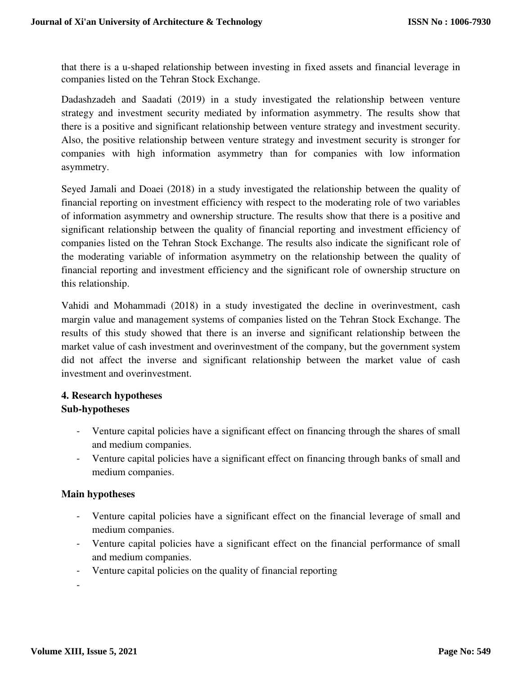that there is a u-shaped relationship between investing in fixed assets and financial leverage in companies listed on the Tehran Stock Exchange.

Dadashzadeh and Saadati (2019) in a study investigated the relationship between venture strategy and investment security mediated by information asymmetry. The results show that there is a positive and significant relationship between venture strategy and investment security. Also, the positive relationship between venture strategy and investment security is stronger for companies with high information asymmetry than for companies with low information asymmetry.

Seyed Jamali and Doaei (2018) in a study investigated the relationship between the quality of financial reporting on investment efficiency with respect to the moderating role of two variables of information asymmetry and ownership structure. The results show that there is a positive and significant relationship between the quality of financial reporting and investment efficiency of companies listed on the Tehran Stock Exchange. The results also indicate the significant role of the moderating variable of information asymmetry on the relationship between the quality of financial reporting and investment efficiency and the significant role of ownership structure on this relationship.

Vahidi and Mohammadi (2018) in a study investigated the decline in overinvestment, cash margin value and management systems of companies listed on the Tehran Stock Exchange. The results of this study showed that there is an inverse and significant relationship between the market value of cash investment and overinvestment of the company, but the government system did not affect the inverse and significant relationship between the market value of cash investment and overinvestment.

# **4. Research hypotheses Sub-hypotheses**

- Venture capital policies have a significant effect on financing through the shares of small and medium companies.
- Venture capital policies have a significant effect on financing through banks of small and medium companies.

# **Main hypotheses**

- Venture capital policies have a significant effect on the financial leverage of small and medium companies.
- Venture capital policies have a significant effect on the financial performance of small and medium companies.
- Venture capital policies on the quality of financial reporting

-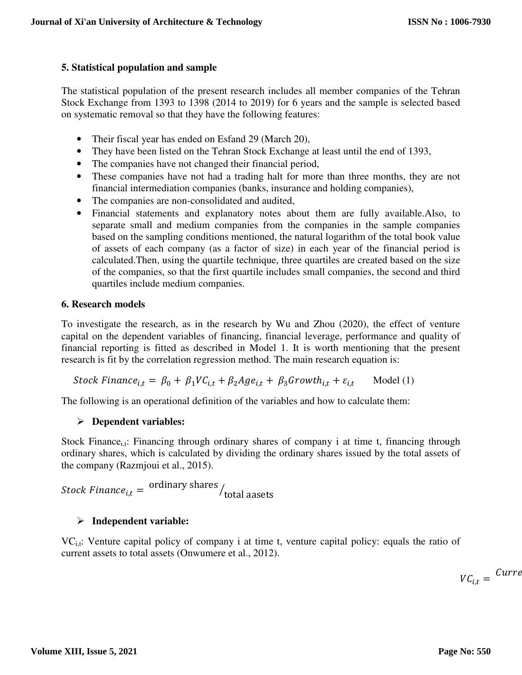# **5. Statistical population and sample**

The statistical population of the present research includes all member companies of the Tehran Stock Exchange from 1393 to 1398 (2014 to 2019) for 6 years and the sample is selected based on systematic removal so that they have the following features:

- Their fiscal year has ended on Esfand 29 (March 20),
- They have been listed on the Tehran Stock Exchange at least until the end of 1393,
- The companies have not changed their financial period,
- These companies have not had a trading halt for more than three months, they are not financial intermediation companies (banks, insurance and holding companies),
- The companies are non-consolidated and audited,
- Financial statements and explanatory notes about them are fully available.Also, to separate small and medium companies from the companies in the sample companies based on the sampling conditions mentioned, the natural logarithm of the total book value of assets of each company (as a factor of size) in each year of the financial period is calculated.Then, using the quartile technique, three quartiles are created based on the size of the companies, so that the first quartile includes small companies, the second and third quartiles include medium companies.

## **6. Research models**

To investigate the research, as in the research by Wu and Zhou (2020), the effect of venture capital on the dependent variables of financing, financial leverage, performance and quality of financial reporting is fitted as described in Model 1. It is worth mentioning that the present research is fit by the correlation regression method. The main research equation is:

Stock Finance<sub>i,t</sub> = 
$$
\beta_0 + \beta_1 VC_{i,t} + \beta_2 Age_{i,t} + \beta_3 Growth_{i,t} + \varepsilon_{i,t}
$$
 Model (1)

The following is an operational definition of the variables and how to calculate them:

## **Dependent variables:**

Stock Finance<sub>i,t</sub>: Financing through ordinary shares of company i at time t, financing through ordinary shares, which is calculated by dividing the ordinary shares issued by the total assets of the company (Razmjoui et al., 2015).

*Stock Finance*<sub>i,t</sub> = 
$$
ordinary shares / total assets
$$

## **Independent variable:**

VCi,t: Venture capital policy of company i at time t, venture capital policy: equals the ratio of current assets to total assets (Onwumere et al., 2012).

 $\textit{VC}_{i,t} = \textit{Current}$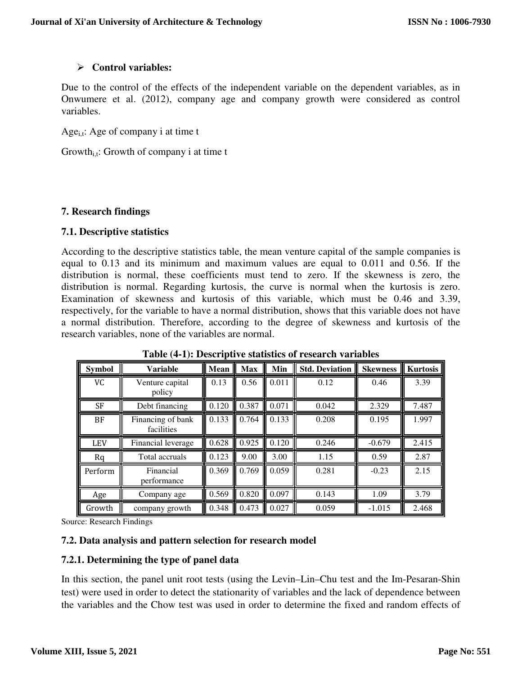# **Control variables:**

Due to the control of the effects of the independent variable on the dependent variables, as in Onwumere et al. (2012), company age and company growth were considered as control variables.

Age<sub>it</sub>: Age of company i at time t

Growth<sub>i,t</sub>: Growth of company i at time t

# **7. Research findings**

# **7.1. Descriptive statistics**

According to the descriptive statistics table, the mean venture capital of the sample companies is equal to 0.13 and its minimum and maximum values are equal to 0.011 and 0.56. If the distribution is normal, these coefficients must tend to zero. If the skewness is zero, the distribution is normal. Regarding kurtosis, the curve is normal when the kurtosis is zero. Examination of skewness and kurtosis of this variable, which must be 0.46 and 3.39, respectively, for the variable to have a normal distribution, shows that this variable does not have a normal distribution. Therefore, according to the degree of skewness and kurtosis of the research variables, none of the variables are normal.

| <b>Symbol</b> | <b>Variable</b>                 | Mean  | <b>Max</b> | Min   | <b>Std. Deviation</b> | <b>Skewness</b> | <b>Kurtosis</b> |
|---------------|---------------------------------|-------|------------|-------|-----------------------|-----------------|-----------------|
| VC            | Venture capital<br>policy       | 0.13  | 0.56       | 0.011 | 0.12                  | 0.46            | 3.39            |
| SF            | Debt financing                  | 0.120 | 0.387      | 0.071 | 0.042                 | 2.329           | 7.487           |
| BF            | Financing of bank<br>facilities | 0.133 | 0.764      | 0.133 | 0.208                 | 0.195           | 1.997           |
| <b>LEV</b>    | Financial leverage              | 0.628 | 0.925      | 0.120 | 0.246                 | $-0.679$        | 2.415           |
| Rq            | Total accruals                  | 0.123 | 9.00       | 3.00  | 1.15                  | 0.59            | 2.87            |
| Perform       | Financial<br>performance        | 0.369 | 0.769      | 0.059 | 0.281                 | $-0.23$         | 2.15            |
| Age           | Company age                     | 0.569 | 0.820      | 0.097 | 0.143                 | 1.09            | 3.79            |
| Growth        | company growth                  | 0.348 | 0.473      | 0.027 | 0.059                 | $-1.015$        | 2.468           |

**Table (4-1): Descriptive statistics of research variables**

Source: Research Findings

## **7.2. Data analysis and pattern selection for research model**

# **7.2.1. Determining the type of panel data**

In this section, the panel unit root tests (using the Levin–Lin–Chu test and the Im-Pesaran-Shin test) were used in order to detect the stationarity of variables and the lack of dependence between the variables and the Chow test was used in order to determine the fixed and random effects of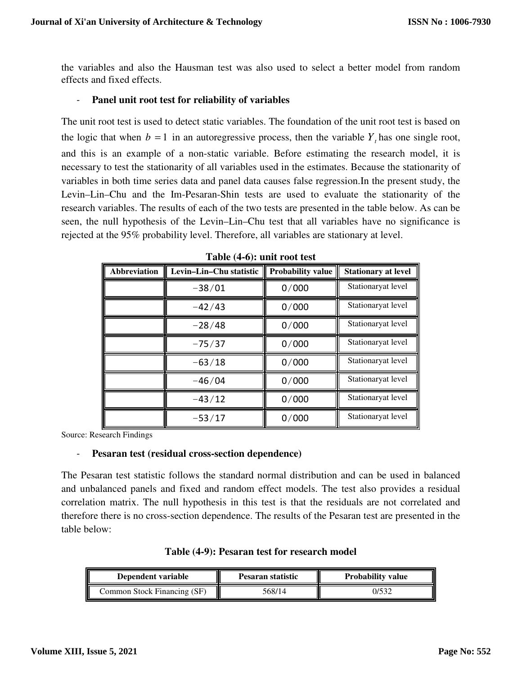the variables and also the Hausman test was also used to select a better model from random effects and fixed effects.

## - **Panel unit root test for reliability of variables**

The unit root test is used to detect static variables. The foundation of the unit root test is based on the logic that when  $b = 1$  in an autoregressive process, then the variable  $Y_t$  has one single root, and this is an example of a non-static variable. Before estimating the research model, it is necessary to test the stationarity of all variables used in the estimates. Because the stationarity of variables in both time series data and panel data causes false regression.In the present study, the Levin–Lin–Chu and the Im-Pesaran-Shin tests are used to evaluate the stationarity of the research variables. The results of each of the two tests are presented in the table below. As can be seen, the null hypothesis of the Levin–Lin–Chu test that all variables have no significance is rejected at the 95% probability level. Therefore, all variables are stationary at level.

| Abbreviation | Levin-Lin-Chu statistic | <b>Probability value</b> | <b>Stationary at level</b> |
|--------------|-------------------------|--------------------------|----------------------------|
|              | $-38/01$                | 0/000                    | Stationaryat level         |
|              | $-42/43$                | 0/000                    | Stationaryat level         |
|              | $-28/48$                | 0/000                    | Stationaryat level         |
|              | $-75/37$                | 0/000                    | Stationaryat level         |
|              | $-63/18$                | 0/000                    | Stationaryat level         |
|              | $-46/04$                | 0/000                    | Stationaryat level         |
|              | $-43/12$                | 0/000                    | Stationaryat level         |
|              | $-53/17$                | 0/000                    | Stationaryat level         |

**Table (4-6): unit root test**

Source: Research Findings

## - **Pesaran test (residual cross-section dependence)**

The Pesaran test statistic follows the standard normal distribution and can be used in balanced and unbalanced panels and fixed and random effect models. The test also provides a residual correlation matrix. The null hypothesis in this test is that the residuals are not correlated and therefore there is no cross-section dependence. The results of the Pesaran test are presented in the table below:

|  |  |  | Table (4-9): Pesaran test for research model |
|--|--|--|----------------------------------------------|
|--|--|--|----------------------------------------------|

| Dependent variable          | Pesaran statistic | <b>Probability value</b> |
|-----------------------------|-------------------|--------------------------|
| Common Stock Financing (SF) | 568/14            | 0/537                    |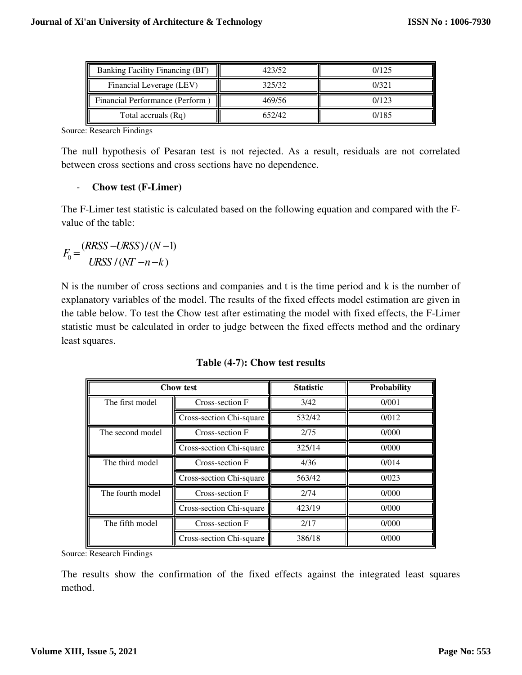| <b>Banking Facility Financing (BF)</b> | 423/52 | 0/125 |
|----------------------------------------|--------|-------|
| Financial Leverage (LEV)               | 325/32 | 7/321 |
| Financial Performance (Perform)        | 469/56 | 0/123 |
| Total accruals (Rq)                    | 652/42 | 0/185 |

Source: Research Findings

The null hypothesis of Pesaran test is not rejected. As a result, residuals are not correlated between cross sections and cross sections have no dependence.

# - **Chow test (F-Limer)**

The F-Limer test statistic is calculated based on the following equation and compared with the Fvalue of the table:

$$
F_0 = \frac{(RRSS - URSS)/(N - 1)}{URSS/(NT - n - k)}
$$

N is the number of cross sections and companies and t is the time period and k is the number of explanatory variables of the model. The results of the fixed effects model estimation are given in the table below. To test the Chow test after estimating the model with fixed effects, the F-Limer statistic must be calculated in order to judge between the fixed effects method and the ordinary least squares.

|                          | <b>Chow test</b>         | <b>Statistic</b> | <b>Probability</b> |
|--------------------------|--------------------------|------------------|--------------------|
| The first model          | Cross-section F          | 3/42             | 0/001              |
|                          | Cross-section Chi-square | 532/42           | 0/012              |
| The second model         | Cross-section F          | 2/75             | 0/000              |
|                          | Cross-section Chi-square | 325/14           | 0/000              |
| The third model          | Cross-section F          | 4/36             | 0/014              |
| Cross-section Chi-square |                          | 563/42           | 0/023              |
| The fourth model         | Cross-section F          | 2/74             | 0/000              |
|                          | Cross-section Chi-square | 423/19           | 0/000              |
| The fifth model          | Cross-section F          | 2/17             | 0/000              |
| Cross-section Chi-square |                          | 386/18           | 0/000              |

|  |  |  |  | Table (4-7): Chow test results |
|--|--|--|--|--------------------------------|
|--|--|--|--|--------------------------------|

Source: Research Findings

The results show the confirmation of the fixed effects against the integrated least squares method.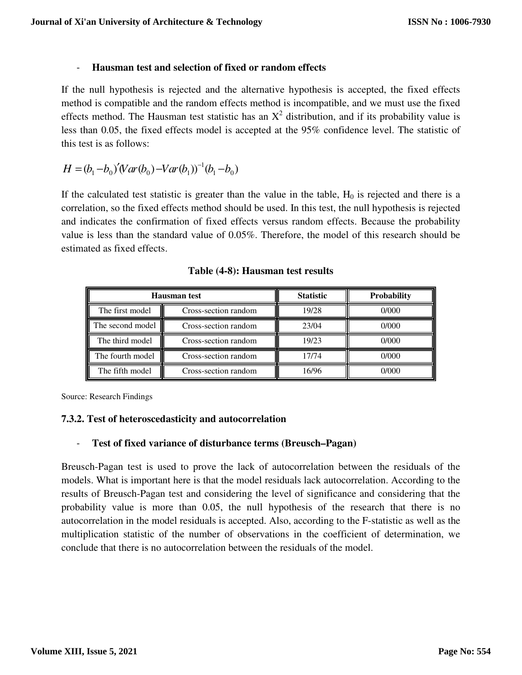# - **Hausman test and selection of fixed or random effects**

If the null hypothesis is rejected and the alternative hypothesis is accepted, the fixed effects method is compatible and the random effects method is incompatible, and we must use the fixed effects method. The Hausman test statistic has an  $X^2$  distribution, and if its probability value is less than 0.05, the fixed effects model is accepted at the 95% confidence level. The statistic of this test is as follows:

$$
H = (b_1 - b_0)'(Var(b_0) - Var(b_1))^{-1}(b_1 - b_0)
$$

If the calculated test statistic is greater than the value in the table,  $H_0$  is rejected and there is a correlation, so the fixed effects method should be used. In this test, the null hypothesis is rejected and indicates the confirmation of fixed effects versus random effects. Because the probability value is less than the standard value of 0.05%. Therefore, the model of this research should be estimated as fixed effects.

|                  | Hausman test         | <b>Statistic</b> | <b>Probability</b> |
|------------------|----------------------|------------------|--------------------|
| The first model  | Cross-section random | 19/28            | 0/000              |
| The second model | Cross-section random | 23/04            | 0/000              |
| The third model  | Cross-section random | 19/23            | 0/000              |
| The fourth model | Cross-section random | 17/74            | 0/000              |
| The fifth model  | Cross-section random | 16/96            | 0/000              |

**Table (4-8): Hausman test results**

Source: Research Findings

# **7.3.2. Test of heteroscedasticity and autocorrelation**

## - **Test of fixed variance of disturbance terms (Breusch–Pagan)**

Breusch-Pagan test is used to prove the lack of autocorrelation between the residuals of the models. What is important here is that the model residuals lack autocorrelation. According to the results of Breusch-Pagan test and considering the level of significance and considering that the probability value is more than 0.05, the null hypothesis of the research that there is no autocorrelation in the model residuals is accepted. Also, according to the F-statistic as well as the multiplication statistic of the number of observations in the coefficient of determination, we conclude that there is no autocorrelation between the residuals of the model.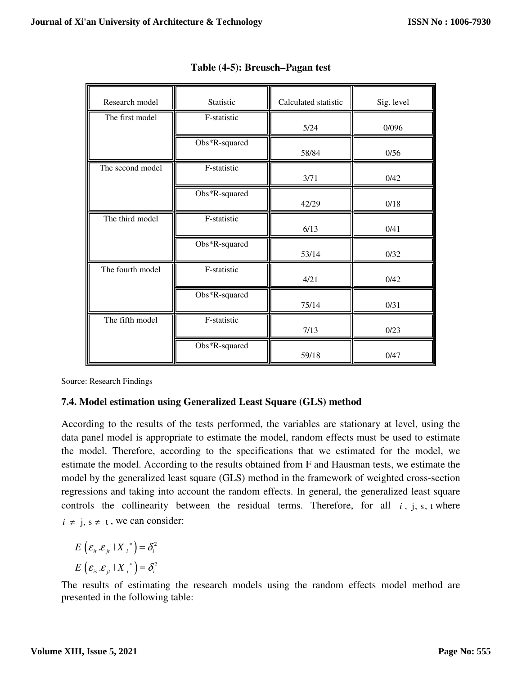| Research model   | Statistic     | Calculated statistic | Sig. level |
|------------------|---------------|----------------------|------------|
| The first model  | F-statistic   | 5/24                 | 0/096      |
|                  | Obs*R-squared | 58/84                | 0/56       |
| The second model | F-statistic   | 3/71                 | 0/42       |
|                  | Obs*R-squared | 42/29                | 0/18       |
| The third model  | F-statistic   | 6/13                 | 0/41       |
|                  | Obs*R-squared | 53/14                | 0/32       |
| The fourth model | F-statistic   | 4/21                 | 0/42       |
|                  | Obs*R-squared | 75/14                | 0/31       |
| The fifth model  | F-statistic   | 7/13                 | 0/23       |
|                  | Obs*R-squared | 59/18                | 0/47       |

Source: Research Findings

# **7.4. Model estimation using Generalized Least Square (GLS) method**

According to the results of the tests performed, the variables are stationary at level, using the data panel model is appropriate to estimate the model, random effects must be used to estimate the model. Therefore, according to the specifications that we estimated for the model, we estimate the model. According to the results obtained from F and Hausman tests, we estimate the model by the generalized least square (GLS) method in the framework of weighted cross-section regressions and taking into account the random effects. In general, the generalized least square controls the collinearity between the residual terms. Therefore, for all  $i$ ,  $j$ ,  $s$ ,  $t$  where  $i \neq j$ ,  $s \neq t$ , we can consider:

$$
E\left(\mathcal{E}_{it} \mathcal{E}_{jt} \mid X \right) = \delta_i^2
$$

$$
E\left(\mathcal{E}_{is} \mathcal{E}_{jt} \mid X \right) = \delta_i^2
$$

The results of estimating the research models using the random effects model method are presented in the following table: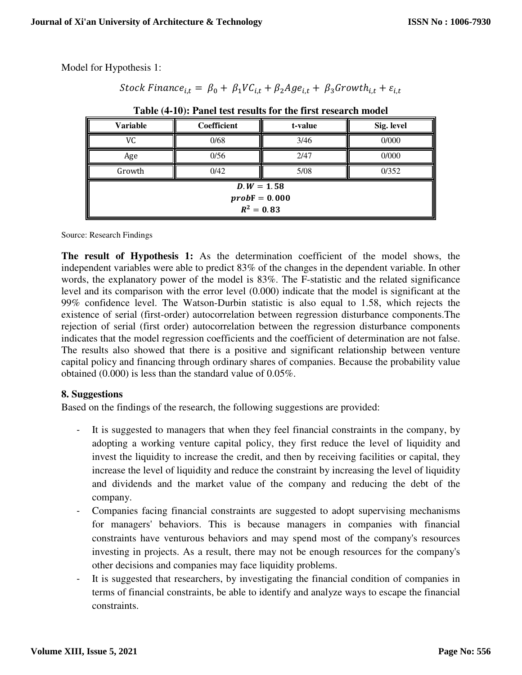Model for Hypothesis 1:

Stock Finance $_{i,t} = \beta_0 + \beta_1 V C_{i,t} + \beta_2 Age_{i,t} + \beta_3 Growth_{i,t} + \varepsilon_{i,t}$ 

| <b>Variable</b>                                 | Coefficient | t-value | Sig. level |  |  |
|-------------------------------------------------|-------------|---------|------------|--|--|
| VC                                              | 0/68        | 3/46    | 0/000      |  |  |
| Age                                             | 0/56        | 2/47    | 0/000      |  |  |
| Growth                                          | 0/42        | 5/08    | 0/352      |  |  |
| $D.W = 1.58$<br>$probF = 0.000$<br>$R^2 = 0.83$ |             |         |            |  |  |

**Table (4-10): Panel test results for the first research model**

Source: Research Findings

**The result of Hypothesis 1:** As the determination coefficient of the model shows, the independent variables were able to predict 83% of the changes in the dependent variable. In other words, the explanatory power of the model is 83%. The F-statistic and the related significance level and its comparison with the error level (0.000) indicate that the model is significant at the 99% confidence level. The Watson-Durbin statistic is also equal to 1.58, which rejects the existence of serial (first-order) autocorrelation between regression disturbance components.The rejection of serial (first order) autocorrelation between the regression disturbance components indicates that the model regression coefficients and the coefficient of determination are not false. The results also showed that there is a positive and significant relationship between venture capital policy and financing through ordinary shares of companies. Because the probability value obtained (0.000) is less than the standard value of 0.05%.

# **8. Suggestions**

Based on the findings of the research, the following suggestions are provided:

- It is suggested to managers that when they feel financial constraints in the company, by adopting a working venture capital policy, they first reduce the level of liquidity and invest the liquidity to increase the credit, and then by receiving facilities or capital, they increase the level of liquidity and reduce the constraint by increasing the level of liquidity and dividends and the market value of the company and reducing the debt of the company.
- Companies facing financial constraints are suggested to adopt supervising mechanisms for managers' behaviors. This is because managers in companies with financial constraints have venturous behaviors and may spend most of the company's resources investing in projects. As a result, there may not be enough resources for the company's other decisions and companies may face liquidity problems.
- It is suggested that researchers, by investigating the financial condition of companies in terms of financial constraints, be able to identify and analyze ways to escape the financial constraints.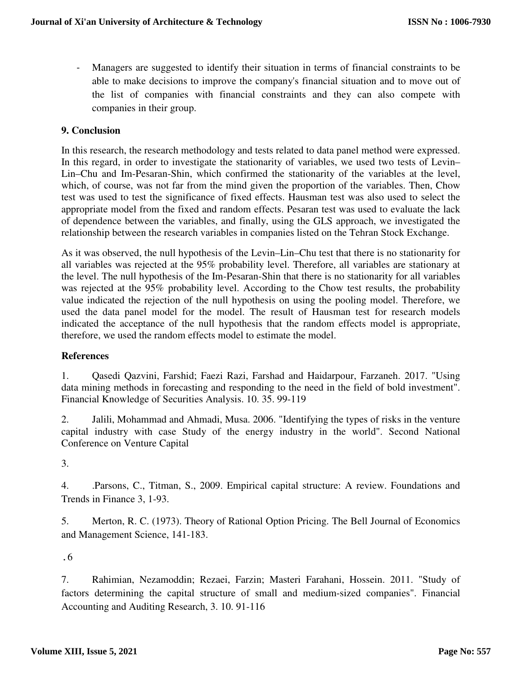- Managers are suggested to identify their situation in terms of financial constraints to be able to make decisions to improve the company's financial situation and to move out of the list of companies with financial constraints and they can also compete with companies in their group.

# **9. Conclusion**

In this research, the research methodology and tests related to data panel method were expressed. In this regard, in order to investigate the stationarity of variables, we used two tests of Levin– Lin–Chu and Im-Pesaran-Shin, which confirmed the stationarity of the variables at the level, which, of course, was not far from the mind given the proportion of the variables. Then, Chow test was used to test the significance of fixed effects. Hausman test was also used to select the appropriate model from the fixed and random effects. Pesaran test was used to evaluate the lack of dependence between the variables, and finally, using the GLS approach, we investigated the relationship between the research variables in companies listed on the Tehran Stock Exchange.

As it was observed, the null hypothesis of the Levin–Lin–Chu test that there is no stationarity for all variables was rejected at the 95% probability level. Therefore, all variables are stationary at the level. The null hypothesis of the Im-Pesaran-Shin that there is no stationarity for all variables was rejected at the 95% probability level. According to the Chow test results, the probability value indicated the rejection of the null hypothesis on using the pooling model. Therefore, we used the data panel model for the model. The result of Hausman test for research models indicated the acceptance of the null hypothesis that the random effects model is appropriate, therefore, we used the random effects model to estimate the model.

## **References**

1. Qasedi Qazvini, Farshid; Faezi Razi, Farshad and Haidarpour, Farzaneh. 2017. "Using data mining methods in forecasting and responding to the need in the field of bold investment". Financial Knowledge of Securities Analysis. 10. 35. 99-119

2. Jalili, Mohammad and Ahmadi, Musa. 2006. "Identifying the types of risks in the venture capital industry with case Study of the energy industry in the world". Second National Conference on Venture Capital

3.

4. .Parsons, C., Titman, S., 2009. Empirical capital structure: A review. Foundations and Trends in Finance 3, 1-93.

5. Merton, R. C. (1973). Theory of Rational Option Pricing. The Bell Journal of Economics and Management Science, 141-183.

. 6

7. Rahimian, Nezamoddin; Rezaei, Farzin; Masteri Farahani, Hossein. 2011. "Study of factors determining the capital structure of small and medium-sized companies". Financial Accounting and Auditing Research, 3. 10. 91-116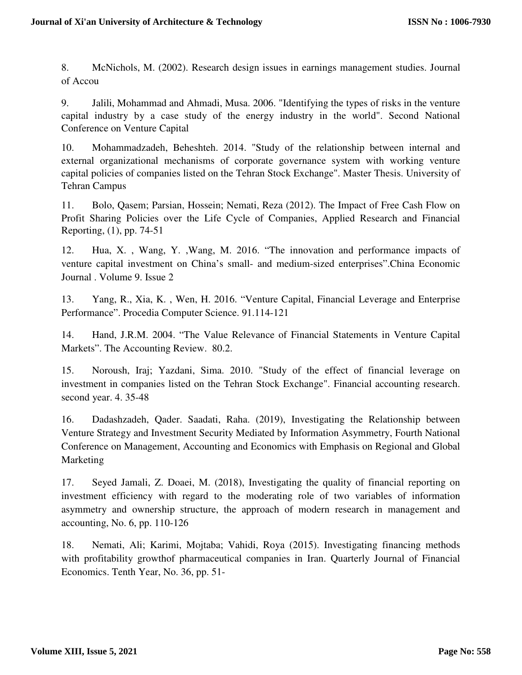8. McNichols, M. (2002). Research design issues in earnings management studies. Journal of Accou

9. Jalili, Mohammad and Ahmadi, Musa. 2006. "Identifying the types of risks in the venture capital industry by a case study of the energy industry in the world". Second National Conference on Venture Capital

10. Mohammadzadeh, Beheshteh. 2014. "Study of the relationship between internal and external organizational mechanisms of corporate governance system with working venture capital policies of companies listed on the Tehran Stock Exchange". Master Thesis. University of Tehran Campus

11. Bolo, Qasem; Parsian, Hossein; Nemati, Reza (2012). The Impact of Free Cash Flow on Profit Sharing Policies over the Life Cycle of Companies, Applied Research and Financial Reporting, (1), pp. 74-51

12. Hua, X. , Wang, Y. ,Wang, M. 2016. "The innovation and performance impacts of venture capital investment on China's small- and medium-sized enterprises".China Economic Journal . Volume 9. Issue 2

13. Yang, R., Xia, K. , Wen, H. 2016. "Venture Capital, Financial Leverage and Enterprise Performance". Procedia Computer Science. 91.114-121

14. Hand, J.R.M. 2004. "The Value Relevance of Financial Statements in Venture Capital Markets". The Accounting Review. 80.2.

15. Noroush, Iraj; Yazdani, Sima. 2010. "Study of the effect of financial leverage on investment in companies listed on the Tehran Stock Exchange". Financial accounting research. second year. 4. 35-48

16. Dadashzadeh, Qader. Saadati, Raha. (2019), Investigating the Relationship between Venture Strategy and Investment Security Mediated by Information Asymmetry, Fourth National Conference on Management, Accounting and Economics with Emphasis on Regional and Global Marketing

17. Seyed Jamali, Z. Doaei, M. (2018), Investigating the quality of financial reporting on investment efficiency with regard to the moderating role of two variables of information asymmetry and ownership structure, the approach of modern research in management and accounting, No. 6, pp. 110-126

18. Nemati, Ali; Karimi, Mojtaba; Vahidi, Roya (2015). Investigating financing methods with profitability growthof pharmaceutical companies in Iran. Quarterly Journal of Financial Economics. Tenth Year, No. 36, pp. 51-